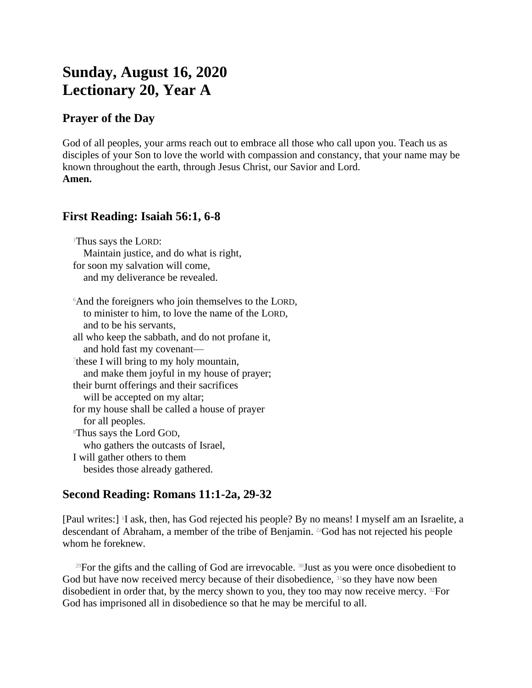# **Sunday, August 16, 2020 Lectionary 20, Year A**

#### **Prayer of the Day**

God of all peoples, your arms reach out to embrace all those who call upon you. Teach us as disciples of your Son to love the world with compassion and constancy, that your name may be known throughout the earth, through Jesus Christ, our Savior and Lord. **Amen.**

### **First Reading: Isaiah 56:1, 6-8**

<sup>1</sup>Thus says the LORD: Maintain justice, and do what is right, for soon my salvation will come, and my deliverance be revealed.

<sup>6</sup>And the foreigners who join themselves to the LORD, to minister to him, to love the name of the LORD, and to be his servants, all who keep the sabbath, and do not profane it, and hold fast my covenant— 7 these I will bring to my holy mountain, and make them joyful in my house of prayer; their burnt offerings and their sacrifices will be accepted on my altar; for my house shall be called a house of prayer for all peoples. <sup>8</sup>Thus says the Lord GOD, who gathers the outcasts of Israel, I will gather others to them besides those already gathered.

## **Second Reading: Romans 11:1-2a, 29-32**

[Paul writes:] 1 I ask, then, has God rejected his people? By no means! I myself am an Israelite, a descendant of Abraham, a member of the tribe of Benjamin. 2aGod has not rejected his people whom he foreknew.

<sup>29</sup>For the gifts and the calling of God are irrevocable. <sup>30</sup>Just as you were once disobedient to God but have now received mercy because of their disobedience,  $31$ so they have now been disobedient in order that, by the mercy shown to you, they too may now receive mercy. 32For God has imprisoned all in disobedience so that he may be merciful to all.